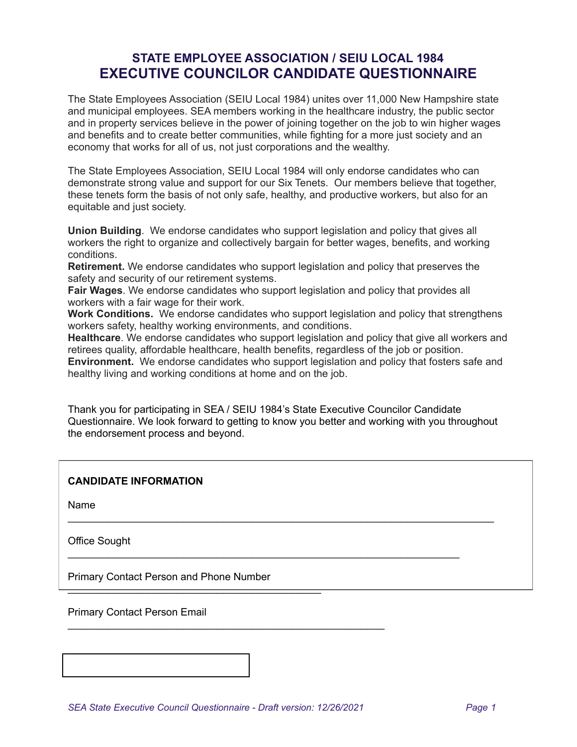# **STATE EMPLOYEE ASSOCIATION / SEIU LOCAL 1984 EXECUTIVE COUNCILOR CANDIDATE QUESTIONNAIRE**

The State Employees Association (SEIU Local 1984) unites over 11,000 New Hampshire state and municipal employees. SEA members working in the healthcare industry, the public sector and in property services believe in the power of joining together on the job to win higher wages and benefits and to create better communities, while fighting for a more just society and an economy that works for all of us, not just corporations and the wealthy.

The State Employees Association, SEIU Local 1984 will only endorse candidates who can demonstrate strong value and support for our Six Tenets. Our members believe that together, these tenets form the basis of not only safe, healthy, and productive workers, but also for an equitable and just society.

**Union Building**. We endorse candidates who support legislation and policy that gives all workers the right to organize and collectively bargain for better wages, benefits, and working conditions.

**Retirement.** We endorse candidates who support legislation and policy that preserves the safety and security of our retirement systems.

**Fair Wages**. We endorse candidates who support legislation and policy that provides all workers with a fair wage for their work.

**Work Conditions.** We endorse candidates who support legislation and policy that strengthens workers safety, healthy working environments, and conditions.

**Healthcare**. We endorse candidates who support legislation and policy that give all workers and retirees quality, affordable healthcare, health benefits, regardless of the job or position.

**Environment.** We endorse candidates who support legislation and policy that fosters safe and healthy living and working conditions at home and on the job.

Thank you for participating in SEA / SEIU 1984's State Executive Councilor Candidate Questionnaire. We look forward to getting to know you better and working with you throughout the endorsement process and beyond.

\_\_\_\_\_\_\_\_\_\_\_\_\_\_\_\_\_\_\_\_\_\_\_\_\_\_\_\_\_\_\_\_\_\_\_\_\_\_\_\_\_\_\_\_\_\_\_\_\_\_\_\_\_\_\_\_\_\_\_\_\_\_\_\_\_\_\_\_\_\_\_\_\_\_

\_\_\_\_\_\_\_\_\_\_\_\_\_\_\_\_\_\_\_\_\_\_\_\_\_\_\_\_\_\_\_\_\_\_\_\_\_\_\_\_\_\_\_\_\_\_\_\_\_\_\_\_\_\_\_\_\_\_\_\_\_\_\_\_\_\_\_\_

## **CANDIDATE INFORMATION**

Name

Office Sought

Primary Contact Person and Phone Number

\_\_\_\_\_\_\_\_\_\_\_\_\_\_\_\_\_\_\_\_\_\_\_\_\_\_\_\_\_\_\_\_\_\_\_\_\_\_\_\_\_\_\_\_

Primary Contact Person Email

\_\_\_\_\_\_\_\_\_\_\_\_\_\_\_\_\_\_\_\_\_\_\_\_\_\_\_\_\_\_\_\_\_\_\_\_\_\_\_\_\_\_\_\_\_\_\_\_\_\_\_\_\_\_\_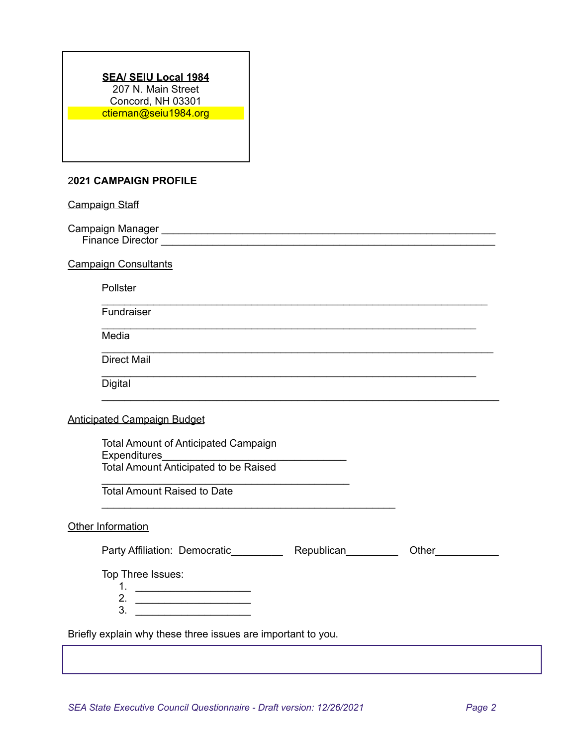## **SEA/ SEIU Local 1984**

207 N. Main Street Concord, NH 03301 ctiernan@seiu1984.org

# 2**021 CAMPAIGN PROFILE**

| <b>Campaign Staff</b>                                        |                   |
|--------------------------------------------------------------|-------------------|
|                                                              |                   |
|                                                              |                   |
| <b>Campaign Consultants</b>                                  |                   |
| Pollster                                                     |                   |
| Fundraiser                                                   |                   |
| Media                                                        |                   |
| <b>Direct Mail</b>                                           |                   |
| Digital                                                      |                   |
| <b>Anticipated Campaign Budget</b>                           |                   |
| <b>Total Amount of Anticipated Campaign</b>                  |                   |
| Expenditures<br>Total Amount Anticipated to be Raised        |                   |
| Total Amount Raised to Date                                  |                   |
| Other Information                                            |                   |
|                                                              | Other____________ |
| Top Three Issues:<br>1. $\qquad \qquad$                      |                   |
| $\begin{array}{c}\n3. \end{array}$                           |                   |
| Briefly explain why these three issues are important to you. |                   |
| 2. $\qquad \qquad$                                           |                   |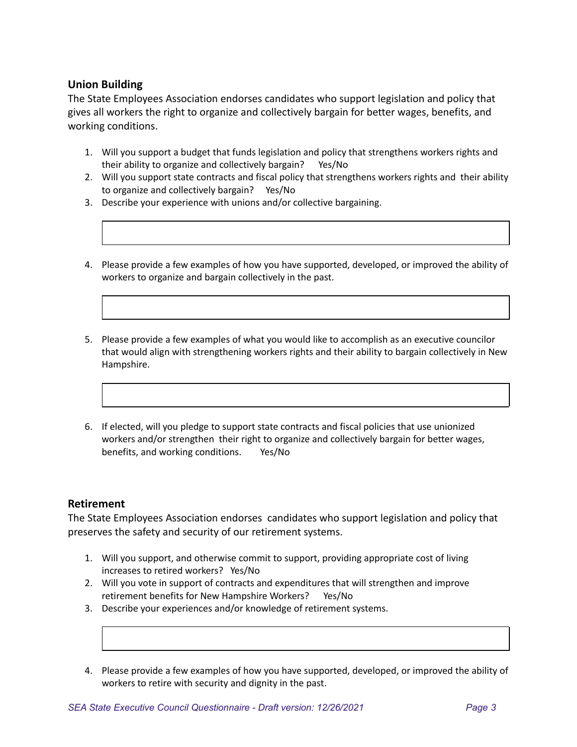## **Union Building**

The State Employees Association endorses candidates who support legislation and policy that gives all workers the right to organize and collectively bargain for better wages, benefits, and working conditions.

- 1. Will you support a budget that funds legislation and policy that strengthens workers rights and their ability to organize and collectively bargain? Yes/No
- 2. Will you support state contracts and fiscal policy that strengthens workers rights and their ability to organize and collectively bargain? Yes/No
- 3. Describe your experience with unions and/or collective bargaining.
- 4. Please provide a few examples of how you have supported, developed, or improved the ability of workers to organize and bargain collectively in the past.
- 5. Please provide a few examples of what you would like to accomplish as an executive councilor that would align with strengthening workers rights and their ability to bargain collectively in New Hampshire.
- 6. If elected, will you pledge to support state contracts and fiscal policies that use unionized workers and/or strengthen their right to organize and collectively bargain for better wages, benefits, and working conditions. Yes/No

## **Retirement**

The State Employees Association endorses candidates who support legislation and policy that preserves the safety and security of our retirement systems.

- 1. Will you support, and otherwise commit to support, providing appropriate cost of living increases to retired workers? Yes/No
- 2. Will you vote in support of contracts and expenditures that will strengthen and improve retirement benefits for New Hampshire Workers? Yes/No
- 3. Describe your experiences and/or knowledge of retirement systems.
- 4. Please provide a few examples of how you have supported, developed, or improved the ability of workers to retire with security and dignity in the past.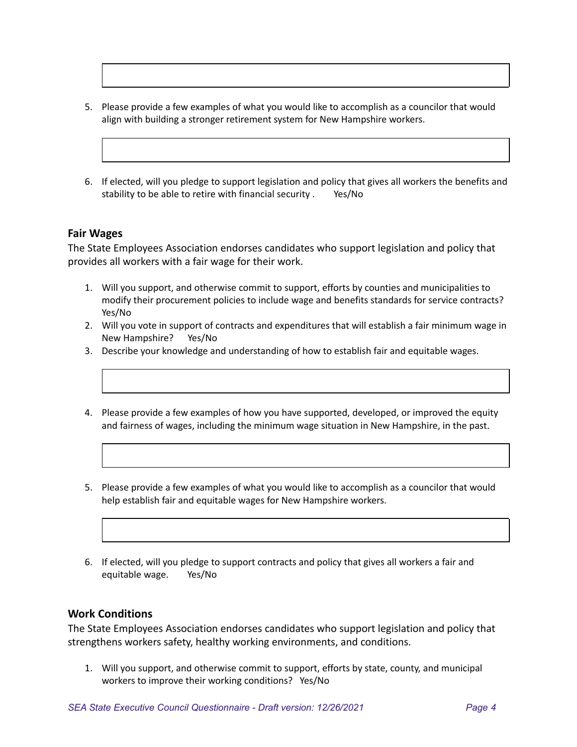- 5. Please provide a few examples of what you would like to accomplish as a councilor that would align with building a stronger retirement system for New Hampshire workers.
- 6. If elected, will you pledge to support legislation and policy that gives all workers the benefits and stability to be able to retire with financial security . Yes/No

## **Fair Wages**

The State Employees Association endorses candidates who support legislation and policy that provides all workers with a fair wage for their work.

- 1. Will you support, and otherwise commit to support, efforts by counties and municipalities to modify their procurement policies to include wage and benefits standards for service contracts? Yes/No
- 2. Will you vote in support of contracts and expenditures that will establish a fair minimum wage in New Hampshire? Yes/No
- 3. Describe your knowledge and understanding of how to establish fair and equitable wages.
- 4. Please provide a few examples of how you have supported, developed, or improved the equity and fairness of wages, including the minimum wage situation in New Hampshire, in the past.
- 5. Please provide a few examples of what you would like to accomplish as a councilor that would help establish fair and equitable wages for New Hampshire workers.
- 6. If elected, will you pledge to support contracts and policy that gives all workers a fair and equitable wage. Yes/No

#### **Work Conditions**

The State Employees Association endorses candidates who support legislation and policy that strengthens workers safety, healthy working environments, and conditions.

1. Will you support, and otherwise commit to support, efforts by state, county, and municipal workers to improve their working conditions? Yes/No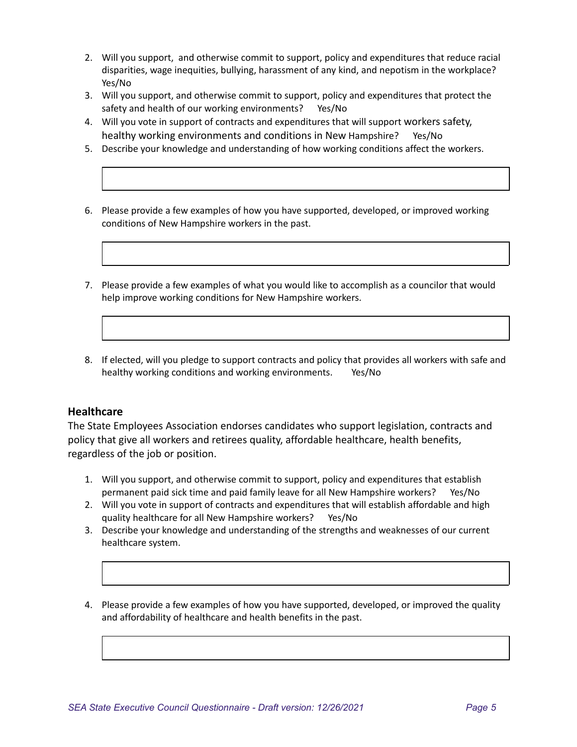- 2. Will you support, and otherwise commit to support, policy and expenditures that reduce racial disparities, wage inequities, bullying, harassment of any kind, and nepotism in the workplace? Yes/No
- 3. Will you support, and otherwise commit to support, policy and expenditures that protect the safety and health of our working environments? Yes/No
- 4. Will you vote in support of contracts and expenditures that will support workers safety, healthy working environments and conditions in New Hampshire? Yes/No
- 5. Describe your knowledge and understanding of how working conditions affect the workers.
- 6. Please provide a few examples of how you have supported, developed, or improved working conditions of New Hampshire workers in the past.
- 7. Please provide a few examples of what you would like to accomplish as a councilor that would help improve working conditions for New Hampshire workers.
- 8. If elected, will you pledge to support contracts and policy that provides all workers with safe and healthy working conditions and working environments. Yes/No

## **Healthcare**

The State Employees Association endorses candidates who support legislation, contracts and policy that give all workers and retirees quality, affordable healthcare, health benefits, regardless of the job or position.

- 1. Will you support, and otherwise commit to support, policy and expenditures that establish permanent paid sick time and paid family leave for all New Hampshire workers? Yes/No
- 2. Will you vote in support of contracts and expenditures that will establish affordable and high quality healthcare for all New Hampshire workers? Yes/No
- 3. Describe your knowledge and understanding of the strengths and weaknesses of our current healthcare system.
- 4. Please provide a few examples of how you have supported, developed, or improved the quality and affordability of healthcare and health benefits in the past.